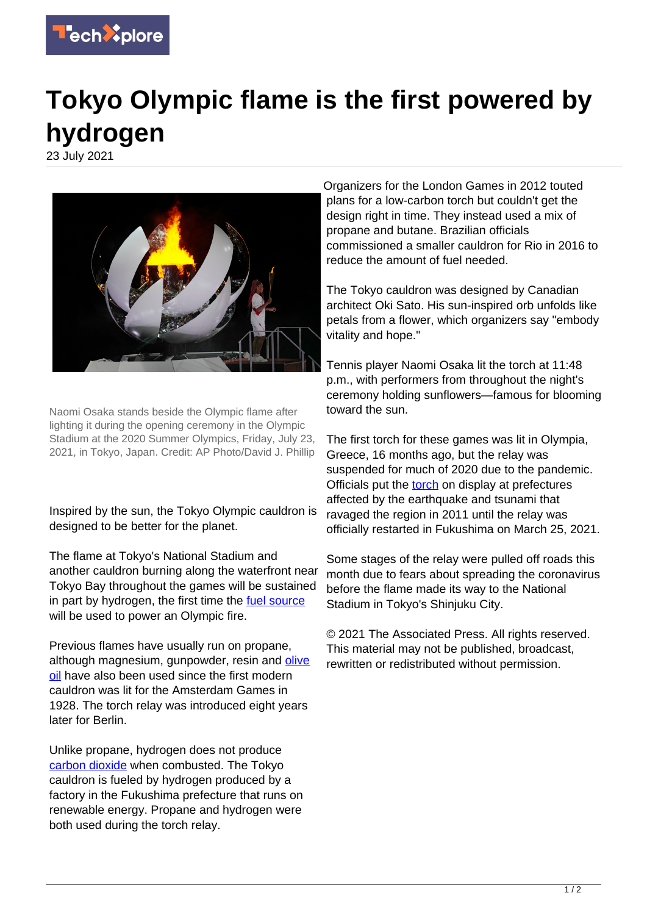

## **Tokyo Olympic flame is the first powered by hydrogen**

23 July 2021



Naomi Osaka stands beside the Olympic flame after lighting it during the opening ceremony in the Olympic Stadium at the 2020 Summer Olympics, Friday, July 23, 2021, in Tokyo, Japan. Credit: AP Photo/David J. Phillip

Inspired by the sun, the Tokyo Olympic cauldron is designed to be better for the planet.

The flame at Tokyo's National Stadium and another cauldron burning along the waterfront near Tokyo Bay throughout the games will be sustained in part by hydrogen, the first time the [fuel source](https://techxplore.com/tags/fuel+source/) will be used to power an Olympic fire.

Previous flames have usually run on propane, although magnesium, gunpowder, resin and [olive](https://techxplore.com/tags/olive+oil/) [oil](https://techxplore.com/tags/olive+oil/) have also been used since the first modern cauldron was lit for the Amsterdam Games in 1928. The torch relay was introduced eight years later for Berlin.

Unlike propane, hydrogen does not produce [carbon dioxide](https://techxplore.com/tags/carbon+dioxide/) when combusted. The Tokyo cauldron is fueled by hydrogen produced by a factory in the Fukushima prefecture that runs on renewable energy. Propane and hydrogen were both used during the torch relay.

Organizers for the London Games in 2012 touted plans for a low-carbon torch but couldn't get the design right in time. They instead used a mix of propane and butane. Brazilian officials commissioned a smaller cauldron for Rio in 2016 to reduce the amount of fuel needed.

The Tokyo cauldron was designed by Canadian architect Oki Sato. His sun-inspired orb unfolds like petals from a flower, which organizers say "embody vitality and hope."

Tennis player Naomi Osaka lit the torch at 11:48 p.m., with performers from throughout the night's ceremony holding sunflowers—famous for blooming toward the sun.

The first torch for these games was lit in Olympia, Greece, 16 months ago, but the relay was suspended for much of 2020 due to the pandemic. Officials put the [torch](https://techxplore.com/tags/torch/) on display at prefectures affected by the earthquake and tsunami that ravaged the region in 2011 until the relay was officially restarted in Fukushima on March 25, 2021.

Some stages of the relay were pulled off roads this month due to fears about spreading the coronavirus before the flame made its way to the National Stadium in Tokyo's Shinjuku City.

© 2021 The Associated Press. All rights reserved. This material may not be published, broadcast, rewritten or redistributed without permission.